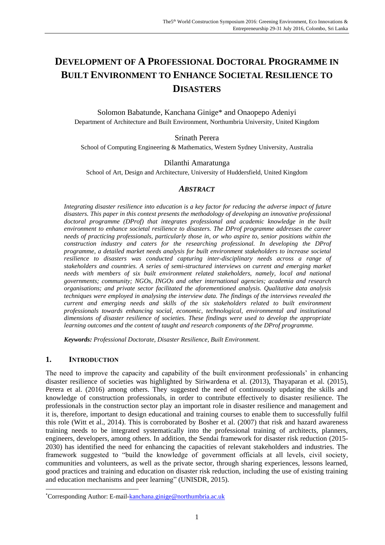# **DEVELOPMENT OF A PROFESSIONAL DOCTORAL PROGRAMME IN BUILT ENVIRONMENT TO ENHANCE SOCIETAL RESILIENCE TO DISASTERS**

Solomon Babatunde, Kanchana Ginige\* and Onaopepo Adeniyi Department of Architecture and Built Environment, Northumbria University, United Kingdom

#### Srinath Perera

School of Computing Engineering & Mathematics, Western Sydney University, Australia

#### Dilanthi Amaratunga

School of Art, Design and Architecture, University of Huddersfield, United Kingdom

#### *ABSTRACT*

*Integrating disaster resilience into education is a key factor for reducing the adverse impact of future disasters. This paper in this context presents the methodology of developing an innovative professional*  doctoral programme (DProf) that integrates professional and academic knowledge in the built *environment to enhance societal resilience to disasters. The DProf programme addresses the career needs of practicing professionals, particularly those in, or who aspire to, senior positions within the construction industry and caters for the researching professional. In developing the DProf programme, a detailed market needs analysis for built environment stakeholders to increase societal resilience to disasters was conducted capturing inter-disciplinary needs across a range of stakeholders and countries. A series of semi-structured interviews on current and emerging market needs with members of six built environment related stakeholders, namely, local and national governments; community; NGOs, INGOs and other international agencies; academia and research organisations; and private sector facilitated the aforementioned analysis. Qualitative data analysis techniques were employed in analysing the interview data. The findings of the interviews revealed the current and emerging needs and skills of the six stakeholders related to built environment professionals towards enhancing social, economic, technological, environmental and institutional dimensions of disaster resilience of societies. These findings were used to develop the appropriate learning outcomes and the content of taught and research components of the DProf programme.*

*Keywords: Professional Doctorate, Disaster Resilience, Built Environment.* 

#### **1. INTRODUCTION**

 $\overline{\phantom{a}}$ 

The need to improve the capacity and capability of the built environment professionals' in enhancing disaster resilience of societies was highlighted by Siriwardena et al. (2013), Thayaparan et al. (2015), Perera et al. (2016) among others. They suggested the need of continuously updating the skills and knowledge of construction professionals, in order to contribute effectively to disaster resilience. The professionals in the construction sector play an important role in disaster resilience and management and it is, therefore, important to design educational and training courses to enable them to successfully fulfil this role (Witt et al., 2014). This is corroborated by Bosher et al. (2007) that risk and hazard awareness training needs to be integrated systematically into the professional training of architects, planners, engineers, developers, among others. In addition, the Sendai framework for disaster risk reduction (2015- 2030) has identified the need for enhancing the capacities of relevant stakeholders and industries. The framework suggested to "build the knowledge of government officials at all levels, civil society, communities and volunteers, as well as the private sector, through sharing experiences, lessons learned, good practices and training and education on disaster risk reduction, including the use of existing training and education mechanisms and peer learning" [\(UNISDR, 2015\)](#page-8-0).

<sup>\*</sup>Corresponding Author: E-mail[-kanchana.ginige@northumbria.ac.uk](mailto:kanchana.ginige@northumbria.ac.uk)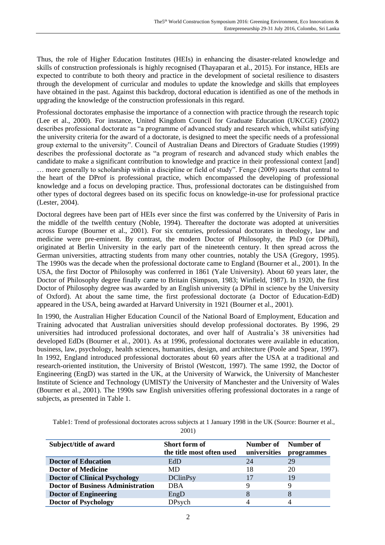Thus, the role of Higher Education Institutes (HEIs) in enhancing the disaster-related knowledge and skills of construction professionals is highly recognised (Thayaparan et al., 2015). For instance, HEIs are expected to contribute to both theory and practice in the development of societal resilience to disasters through the development of curricular and modules to update the knowledge and skills that employees have obtained in the past. Against this backdrop, doctoral education is identified as one of the methods in upgrading the knowledge of the construction professionals in this regard.

Professional doctorates emphasise the importance of a connection with practice through the research topic (Lee et al., 2000). For instance, United Kingdom Council for Graduate Education (UKCGE) (2002) describes professional doctorate as "a programme of advanced study and research which, whilst satisfying the university criteria for the award of a doctorate, is designed to meet the specific needs of a professional group external to the university". Council of Australian Deans and Directors of Graduate Studies (1999) describes the professional doctorate as "a program of research and advanced study which enables the candidate to make a significant contribution to knowledge and practice in their professional context [and] … more generally to scholarship within a discipline or field of study". Fenge (2009) asserts that central to the heart of the DProf is professional practice, which encompassed the developing of professional knowledge and a focus on developing practice. Thus, professional doctorates can be distinguished from other types of doctoral degrees based on its specific focus on knowledge-in-use for professional practice (Lester, 2004).

Doctoral degrees have been part of HEIs ever since the first was conferred by the University of Paris in the middle of the twelfth century (Noble, 1994). Thereafter the doctorate was adopted at universities across Europe (Bourner et al., 2001). For six centuries, professional doctorates in theology, law and medicine were pre-eminent. By contrast, the modern Doctor of Philosophy, the PhD (or DPhil), originated at Berlin University in the early part of the nineteenth century. It then spread across the German universities, attracting students from many other countries, notably the USA (Gregory, 1995). The 1990s was the decade when the professional doctorate came to England (Bourner et al., 2001). In the USA, the first Doctor of Philosophy was conferred in 1861 (Yale University). About 60 years later, the Doctor of Philosophy degree finally came to Britain (Simpson, 1983; Winfield, 1987). In 1920, the first Doctor of Philosophy degree was awarded by an English university (a DPhil in science by the University of Oxford). At about the same time, the first professional doctorate (a Doctor of Education-EdD) appeared in the USA, being awarded at Harvard University in 1921 (Bourner et al., 2001).

In 1990, the Australian Higher Education Council of the National Board of Employment, Education and Training advocated that Australian universities should develop professional doctorates. By 1996, 29 universities had introduced professional doctorates, and over half of Australia's 38 universities had developed EdDs (Bourner et al., 2001). As at 1996, professional doctorates were available in education, business, law, psychology, health sciences, humanities, design, and architecture (Poole and Spear, 1997). In 1992, England introduced professional doctorates about 60 years after the USA at a traditional and research-oriented institution, the University of Bristol (Westcott, 1997). The same 1992, the Doctor of Engineering (EngD) was started in the UK, at the University of Warwick, the University of Manchester Institute of Science and Technology (UMIST)/ the University of Manchester and the University of Wales (Bourner et al., 2001). The 1990s saw English universities offering professional doctorates in a range of subjects, as presented in Table 1.

Table1: Trend of professional doctorates across subjects at 1 January 1998 in the UK (Source: Bourner et al.,

**Subject/title of award Short form of the title most often used Number of universities Number of programmes Doctor of Education** EdD 24 29 **Doctor of Medicine** MD 18 20 **Doctor of Clinical Psychology** DClinPsy 17 19 **Doctor of Business Administration** DBA 9 9 9 9 **Doctor of Engineering** EngD 8 8 8 **Doctor of Psychology** DPsych 4 4

2001)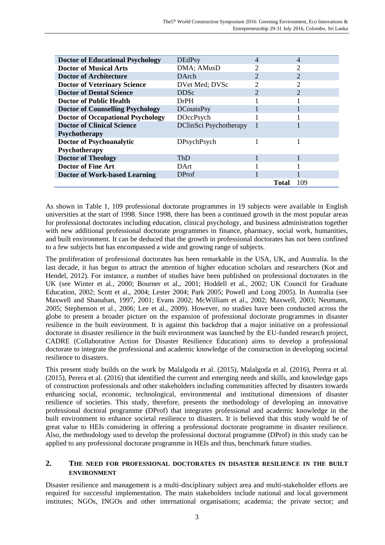| <b>Doctor of Educational Psychology</b>  | <b>DEdPsy</b>          |                             | 4             |
|------------------------------------------|------------------------|-----------------------------|---------------|
| <b>Doctor of Musical Arts</b>            | DMA; AMusD             |                             |               |
| <b>Doctor of Architecture</b>            | <b>D</b> Arch          | $\mathcal{D}_{\mathcal{A}}$ | $\mathcal{D}$ |
| <b>Doctor of Veterinary Science</b>      | DVet Med; DVSc         |                             | 2             |
| <b>Doctor of Dental Science</b>          | <b>DDSc</b>            |                             | າ             |
| <b>Doctor of Public Health</b>           | <b>DrPH</b>            |                             |               |
| <b>Doctor of Counselling Psychology</b>  | <b>DCounsPsy</b>       |                             |               |
| <b>Doctor of Occupational Psychology</b> | DOccPsych              |                             |               |
| <b>Doctor of Clinical Science</b>        | DClinSci Psychotherapy |                             |               |
| <b>Psychotherapy</b>                     |                        |                             |               |
| Doctor of Psychoanalytic                 | DPsychPsych            |                             |               |
| Psychotherapy                            |                        |                             |               |
| <b>Doctor of Theology</b>                | <b>ThD</b>             |                             |               |
| <b>Doctor of Fine Art</b>                | DArt                   |                             |               |
| <b>Doctor of Work-based Learning</b>     | <b>DProf</b>           |                             |               |
|                                          |                        |                             | 109<br>Total  |

As shown in Table 1, 109 professional doctorate programmes in 19 subjects were available in English universities at the start of 1998. Since 1998, there has been a continued growth in the most popular areas for professional doctorates including education, clinical psychology, and business administration together with new additional professional doctorate programmes in finance, pharmacy, social work, humanities, and built environment. It can be deduced that the growth in professional doctorates has not been confined to a few subjects but has encompassed a wide and growing range of subjects.

The proliferation of professional doctorates has been remarkable in the USA, UK, and Australia. In the last decade, it has begun to attract the attention of higher education scholars and researchers (Kot and Hendel, 2012). For instance, a number of studies have been published on professional doctorates in the UK (see Winter et al., 2000; Bourner et al., 2001; Hoddell et al., 2002; UK Council for Graduate Education, 2002; Scott et al., 2004; Lester 2004; Park 2005; Powell and Long 2005). In Australia (see Maxwell and Shanahan, 1997, 2001; Evans 2002; McWilliam et al., 2002; Maxwell, 2003; Neumann, 2005; Stephenson et al., 2006; Lee et al., 2009). However, no studies have been conducted across the globe to present a broader picture on the expansion of professional doctorate programmes in disaster resilience in the built environment. It is against this backdrop that a major initiative on a professional doctorate in disaster resilience in the built environment was launched by the EU-funded research project, CADRE (Collaborative Action for Disaster Resilience Education) aims to develop a professional doctorate to integrate the professional and academic knowledge of the construction in developing societal resilience to disasters.

This present study builds on the work by Malalgoda et al. (2015), Malalgoda et al. (2016), Perera et al. (2015), Perera et al. (2016) that identified the current and emerging needs and skills, and knowledge gaps of construction professionals and other stakeholders including communities affected by disasters towards enhancing social, economic, technological, environmental and institutional dimensions of disaster resilience of societies. This study, therefore, presents the methodology of developing an innovative professional doctoral programme (DProf) that integrates professional and academic knowledge in the built environment to enhance societal resilience to disasters. It is believed that this study would be of great value to HEIs considering in offering a professional doctorate programme in disaster resilience. Also, the methodology used to develop the professional doctoral programme (DProf) in this study can be applied to any professional doctorate programme in HEIs and thus, benchmark future studies.

#### **2. THE NEED FOR PROFESSIONAL DOCTORATES IN DISASTER RESILIENCE IN THE BUILT ENVIRONMENT**

Disaster resilience and management is a multi-disciplinary subject area and multi-stakeholder efforts are required for successful implementation. The main stakeholders include national and local government institutes; NGOs, INGOs and other international organisations; academia; the private sector; and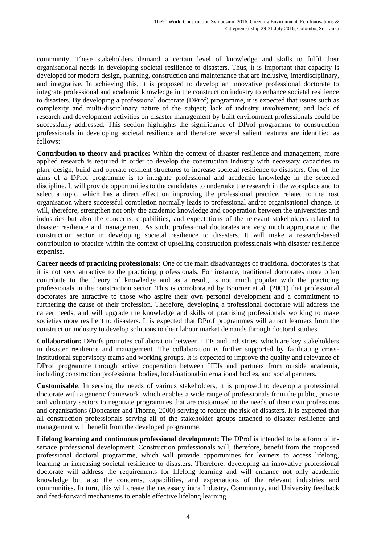community. These stakeholders demand a certain level of knowledge and skills to fulfil their organisational needs in developing societal resilience to disasters. Thus, it is important that capacity is developed for modern design, planning, construction and maintenance that are inclusive, interdisciplinary, and integrative. In achieving this, it is proposed to develop an innovative professional doctorate to integrate professional and academic knowledge in the construction industry to enhance societal resilience to disasters. By developing a professional doctorate (DProf) programme, it is expected that issues such as complexity and multi-disciplinary nature of the subject; lack of industry involvement; and lack of research and development activities on disaster management by built environment professionals could be successfully addressed. This section highlights the significance of DProf programme to construction professionals in developing societal resilience and therefore several salient features are identified as follows:

**Contribution to theory and practice:** Within the context of disaster resilience and management, more applied research is required in order to develop the construction industry with necessary capacities to plan, design, build and operate resilient structures to increase societal resilience to disasters. One of the aims of a DProf programme is to integrate professional and academic knowledge in the selected discipline. It will provide opportunities to the candidates to undertake the research in the workplace and to select a topic, which has a direct effect on improving the professional practice, related to the host organisation where successful completion normally leads to professional and/or organisational change. It will, therefore, strengthen not only the academic knowledge and cooperation between the universities and industries but also the concerns, capabilities, and expectations of the relevant stakeholders related to disaster resilience and management. As such, professional doctorates are very much appropriate to the construction sector in developing societal resilience to disasters. It will make a research-based contribution to practice within the context of upselling construction professionals with disaster resilience expertise.

**Career needs of practicing professionals:** One of the main disadvantages of traditional doctorates is that it is not very attractive to the practicing professionals. For instance, traditional doctorates more often contribute to the theory of knowledge and as a result, is not much popular with the practicing professionals in the construction sector. This is corroborated by Bourner et al. (2001) that professional doctorates are attractive to those who aspire their own personal development and a commitment to furthering the cause of their profession. Therefore, developing a professional doctorate will address the career needs, and will upgrade the knowledge and skills of practising professionals working to make societies more resilient to disasters. It is expected that DProf programmes will attract learners from the construction industry to develop solutions to their labour market demands through doctoral studies.

**Collaboration:** DProfs promotes collaboration between HEIs and industries, which are key stakeholders in disaster resilience and management. The collaboration is further supported by facilitating crossinstitutional supervisory teams and working groups. It is expected to improve the quality and relevance of DProf programme through active cooperation between HEIs and partners from outside academia, including construction professional bodies, local/national/international bodies, and social partners.

**Customisable**: In serving the needs of various stakeholders, it is proposed to develop a professional doctorate with a generic framework, which enables a wide range of professionals from the public, private and voluntary sectors to negotiate programmes that are customised to the needs of their own professions and organisations [\(Doncaster and Thorne, 2000\)](#page-7-0) serving to reduce the risk of disasters. It is expected that all construction professionals serving all of the stakeholder groups attached to disaster resilience and management will benefit from the developed programme.

**Lifelong learning and continuous professional development:** The DProf is intended to be a form of inservice professional development. Construction professionals will, therefore, benefit from the proposed professional doctoral programme, which will provide opportunities for learners to access lifelong, learning in increasing societal resilience to disasters. Therefore, developing an innovative professional doctorate will address the requirements for lifelong learning and will enhance not only academic knowledge but also the concerns, capabilities, and expectations of the relevant industries and communities. In turn, this will create the necessary intra Industry, Community, and University feedback and feed-forward mechanisms to enable effective lifelong learning.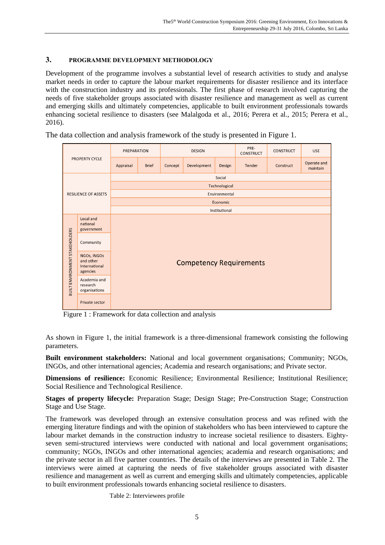#### **3. PROGRAMME DEVELOPMENT METHODOLOGY**

Development of the programme involves a substantial level of research activities to study and analyse market needs in order to capture the labour market requirements for disaster resilience and its interface with the construction industry and its professionals. The first phase of research involved capturing the needs of five stakeholder groups associated with disaster resilience and management as well as current and emerging skills and ultimately competencies, applicable to built environment professionals towards enhancing societal resilience to disasters (see Malalgoda et al., 2016; Perera et al., 2015; Perera et al., 2016).

The data collection and analysis framework of the study is presented in Figure 1.

| PROPERTY CYCLE                        |                                                       | <b>PREPARATION</b>             |              | <b>DESIGN</b> |             | PRE-<br><b>CONSTRUCT</b> | <b>CONSTRUCT</b> | <b>USE</b> |                         |  |
|---------------------------------------|-------------------------------------------------------|--------------------------------|--------------|---------------|-------------|--------------------------|------------------|------------|-------------------------|--|
|                                       |                                                       | Appraisal                      | <b>Brief</b> | Concept       | Development | Design                   | Tender           | Construct  | Operate and<br>maintain |  |
|                                       |                                                       | Social                         |              |               |             |                          |                  |            |                         |  |
| <b>RESILIENCE OF ASSETS</b>           |                                                       | Technological                  |              |               |             |                          |                  |            |                         |  |
|                                       |                                                       | Environmental                  |              |               |             |                          |                  |            |                         |  |
|                                       |                                                       | Economic                       |              |               |             |                          |                  |            |                         |  |
|                                       |                                                       | Institutional                  |              |               |             |                          |                  |            |                         |  |
| <b>BUILT ENVIRONMENT STAKEHOLDERS</b> | Local and<br>national<br>government                   | <b>Competency Requirements</b> |              |               |             |                          |                  |            |                         |  |
|                                       | Community                                             |                                |              |               |             |                          |                  |            |                         |  |
|                                       | NGOs, INGOs<br>and other<br>International<br>agencies |                                |              |               |             |                          |                  |            |                         |  |
|                                       | Academia and<br>research<br>organisations             |                                |              |               |             |                          |                  |            |                         |  |
|                                       | Private sector                                        |                                |              |               |             |                          |                  |            |                         |  |

Figure 1 : Framework for data collection and analysis

As shown in Figure 1, the initial framework is a three-dimensional framework consisting the following parameters.

**Built environment stakeholders:** National and local government organisations; Community; NGOs, INGOs, and other international agencies; Academia and research organisations; and Private sector.

**Dimensions of resilience:** Economic Resilience; Environmental Resilience; Institutional Resilience; Social Resilience and Technological Resilience.

**Stages of property lifecycle:** Preparation Stage; Design Stage; Pre-Construction Stage; Construction Stage and Use Stage.

The framework was developed through an extensive consultation process and was refined with the emerging literature findings and with the opinion of stakeholders who has been interviewed to capture the labour market demands in the construction industry to increase societal resilience to disasters. Eightyseven semi-structured interviews were conducted with national and local government organisations; community; NGOs, INGOs and other international agencies; academia and research organisations; and the private sector in all five partner countries. The details of the interviews are presented in Table 2. The interviews were aimed at capturing the needs of five stakeholder groups associated with disaster resilience and management as well as current and emerging skills and ultimately competencies, applicable to built environment professionals towards enhancing societal resilience to disasters.

Table 2: Interviewees profile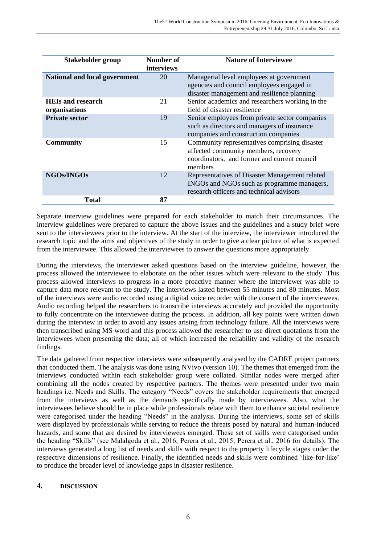| Stakeholder group                         | <b>Number of</b><br>interviews | <b>Nature of Interviewee</b>                                                                                                                     |
|-------------------------------------------|--------------------------------|--------------------------------------------------------------------------------------------------------------------------------------------------|
| <b>National and local government</b>      | 20                             | Managerial level employees at government<br>agencies and council employees engaged in<br>disaster management and resilience planning             |
| <b>HEIs and research</b><br>organisations | 21                             | Senior academics and researchers working in the<br>field of disaster resilience                                                                  |
| <b>Private sector</b>                     | 19                             | Senior employees from private sector companies<br>such as directors and managers of insurance<br>companies and construction companies            |
| <b>Community</b>                          | 15                             | Community representatives comprising disaster<br>affected community members, recovery<br>coordinators, and former and current council<br>members |
| <b>NGOs/INGOs</b>                         | 12                             | Representatives of Disaster Management related<br>INGOs and NGOs such as programme managers,<br>research officers and technical advisors         |
| <b>Total</b>                              | 87                             |                                                                                                                                                  |

Separate interview guidelines were prepared for each stakeholder to match their circumstances. The interview guidelines were prepared to capture the above issues and the guidelines and a study brief were sent to the interviewees prior to the interview. At the start of the interview, the interviewer introduced the research topic and the aims and objectives of the study in order to give a clear picture of what is expected from the interviewee. This allowed the interviewees to answer the questions more appropriately.

During the interviews, the interviewer asked questions based on the interview guideline, however, the process allowed the interviewee to elaborate on the other issues which were relevant to the study. This process allowed interviews to progress in a more proactive manner where the interviewer was able to capture data more relevant to the study. The interviews lasted between 55 minutes and 80 minutes. Most of the interviews were audio recorded using a digital voice recorder with the consent of the interviewees. Audio recording helped the researchers to transcribe interviews accurately and provided the opportunity to fully concentrate on the interviewee during the process. In addition, all key points were written down during the interview in order to avoid any issues arising from technology failure. All the interviews were then transcribed using MS word and this process allowed the researcher to use direct quotations from the interviewees when presenting the data; all of which increased the reliability and validity of the research findings.

The data gathered from respective interviews were subsequently analysed by the CADRE project partners that conducted them. The analysis was done using NVivo (version 10). The themes that emerged from the interviews conducted within each stakeholder group were collated. Similar nodes were merged after combining all the nodes created by respective partners. The themes were presented under two main headings i.e. Needs and Skills. The category "Needs" covers the stakeholder requirements that emerged from the interviews as well as the demands specifically made by interviewees. Also, what the interviewees believe should be in place while professionals relate with them to enhance societal resilience were categorised under the heading "Needs" in the analysis. During the interviews, some set of skills were displayed by professionals while serving to reduce the threats posed by natural and human-induced hazards, and some that are desired by interviewees emerged. These set of skills were categorised under the heading "Skills" (see Malalgoda et al., 2016; Perera et al., 2015; Perera et al., 2016 for details). The interviews generated a long list of needs and skills with respect to the property lifecycle stages under the respective dimensions of resilience. Finally, the identified needs and skills were combined 'like-for-like' to produce the broader level of knowledge gaps in disaster resilience.

# **4. DISCUSSION**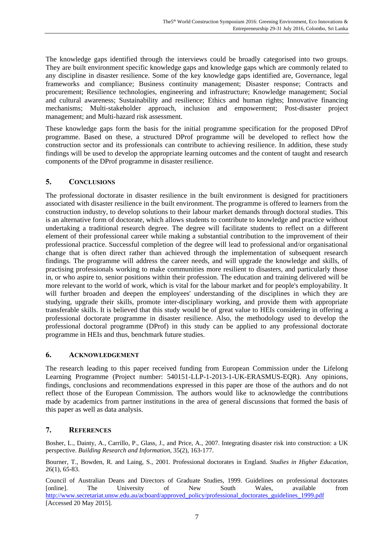The knowledge gaps identified through the interviews could be broadly categorised into two groups. They are built environment specific knowledge gaps and knowledge gaps which are commonly related to any discipline in disaster resilience. Some of the key knowledge gaps identified are, Governance, legal frameworks and compliance; Business continuity management; Disaster response; Contracts and procurement; Resilience technologies, engineering and infrastructure; Knowledge management; Social and cultural awareness; Sustainability and resilience; Ethics and human rights; Innovative financing mechanisms; Multi-stakeholder approach, inclusion and empowerment; Post-disaster project management; and Multi-hazard risk assessment.

These knowledge gaps form the basis for the initial programme specification for the proposed DProf programme. Based on these, a structured DProf programme will be developed to reflect how the construction sector and its professionals can contribute to achieving resilience. In addition, these study findings will be used to develop the appropriate learning outcomes and the content of taught and research components of the DProf programme in disaster resilience.

# **5. CONCLUSIONS**

The professional doctorate in disaster resilience in the built environment is designed for practitioners associated with disaster resilience in the built environment. The programme is offered to learners from the construction industry, to develop solutions to their labour market demands through doctoral studies. This is an alternative form of doctorate, which allows students to contribute to knowledge and practice without undertaking a traditional research degree. The degree will facilitate students to reflect on a different element of their professional career while making a substantial contribution to the improvement of their professional practice. Successful completion of the degree will lead to professional and/or organisational change that is often direct rather than achieved through the implementation of subsequent research findings. The programme will address the career needs, and will upgrade the knowledge and skills, of practising professionals working to make communities more resilient to disasters, and particularly those in, or who aspire to, senior positions within their profession. The education and training delivered will be more relevant to the world of work, which is vital for the labour market and for people's employability. It will further broaden and deepen the employees' understanding of the disciplines in which they are studying, upgrade their skills, promote inter-disciplinary working, and provide them with appropriate transferable skills. It is believed that this study would be of great value to HEIs considering in offering a professional doctorate programme in disaster resilience. Also, the methodology used to develop the professional doctoral programme (DProf) in this study can be applied to any professional doctorate programme in HEIs and thus, benchmark future studies.

# **6. ACKNOWLEDGEMENT**

The research leading to this paper received funding from European Commission under the Lifelong Learning Programme (Project number: 540151-LLP-1-2013-1-UK-ERASMUS-EQR). Any opinions, findings, conclusions and recommendations expressed in this paper are those of the authors and do not reflect those of the European Commission. The authors would like to acknowledge the contributions made by academics from partner institutions in the area of general discussions that formed the basis of this paper as well as data analysis.

# **7. REFERENCES**

Bosher, L., Dainty, A., Carrillo, P., Glass, J., and Price, A., 2007. Integrating disaster risk into construction: a UK perspective. *Building Research and Information,* 35(2), 163-177.

Bourner, T., Bowden, R. and Laing, S., 2001. Professional doctorates in England. *Studies in Higher Education*, 26(1), 65-83.

Council of Australian Deans and Directors of Graduate Studies, 1999. Guidelines on professional doctorates [online]. The University of New South Wales, available from [http://www.secretariat.unsw.edu.au/acboard/approved\\_policy/professional\\_doctorates\\_guidelines\\_1999.pdf](http://www.secretariat.unsw.edu.au/acboard/approved_policy/professional_doctorates_guidelines_1999.pdf) [Accessed 20 May 2015].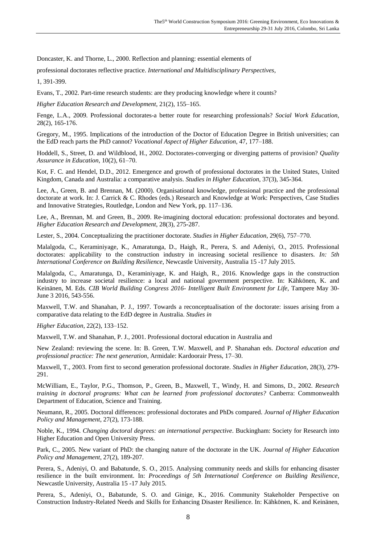<span id="page-7-0"></span>Doncaster, K. and Thorne, L., 2000. Reflection and planning: essential elements of

professional doctorates reflective practice. *International and Multidisciplinary Perspectives*,

1, 391-399.

Evans, T., 2002. Part-time research students: are they producing knowledge where it counts?

*Higher Education Research and Development*, 21(2), 155–165.

Fenge, L.A., 2009. Professional doctorates-a better route for researching professionals? *Social Work Education*, 28(2), 165-176.

Gregory, M., 1995. Implications of the introduction of the Doctor of Education Degree in British universities; can the EdD reach parts the PhD cannot? *Vocational Aspect of Higher Education*, 47, 177–188.

Hoddell, S., Street, D. and Wildblood, H., 2002. Doctorates-converging or diverging patterns of provision? *Quality Assurance in Education*, 10(2), 61–70.

Kot, F. C. and Hendel, D.D., 2012. Emergence and growth of professional doctorates in the United States, United Kingdom, Canada and Australia: a comparative analysis. *Studies in Higher Education*, 37(3), 345-364.

Lee, A., Green, B. and Brennan, M. (2000). Organisational knowledge, professional practice and the professional doctorate at work. In: J. Carrick & C. Rhodes (eds.) Research and Knowledge at Work: Perspectives, Case Studies and Innovative Strategies, Routledge, London and New York, pp. 117–136.

Lee, A., Brennan, M. and Green, B., 2009. Re-imagining doctoral education: professional doctorates and beyond. *Higher Education Research and Development*, 28(3), 275-287.

Lester, S., 2004. Conceptualizing the practitioner doctorate. *Studies in Higher Education*, 29(6), 757–770.

Malalgoda, C., Keraminiyage, K., Amaratunga, D., Haigh, R., Perera, S. and Adeniyi, O., 2015. Professional doctorates: applicability to the construction industry in increasing societal resilience to disasters. *In: 5th International Conference on Building Resilience*, Newcastle University, Australia 15 -17 July 2015.

Malalgoda, C., Amaratunga, D., Keraminiyage, K. and Haigh, R., 2016. Knowledge gaps in the construction industry to increase societal resilience: a local and national government perspective. In: Kähkönen, K. and Keinänen, M. Eds. *CIB World Building Congress 2016- Intelligent Built Environment for Life*, Tampere May 30- June 3 2016, 543-556.

Maxwell, T.W. and Shanahan, P. J., 1997. Towards a reconceptualisation of the doctorate: issues arising from a comparative data relating to the EdD degree in Australia. *Studies in*

*Higher Education*, 22(2), 133–152.

Maxwell, T.W. and Shanahan, P. J., 2001. Professional doctoral education in Australia and

New Zealand: reviewing the scene. In: B. Green, T.W. Maxwell, and P. Shanahan eds. *Doctoral education and professional practice: The next generation*, Armidale: Kardoorair Press, 17–30.

Maxwell, T., 2003. From first to second generation professional doctorate. *Studies in Higher Education*, 28(3), 279- 291.

McWilliam, E., Taylor, P.G., Thomson, P., Green, B., Maxwell, T., Windy, H. and Simons, D., 2002. *Research training in doctoral programs: What can be learned from professional doctorates?* Canberra: Commonwealth Department of Education, Science and Training.

Neumann, R., 2005. Doctoral differences: professional doctorates and PhDs compared. *Journal of Higher Education Policy and Management*, 27(2), 173-188.

Noble, K., 1994. *Changing doctoral degrees: an international perspective*. Buckingham: Society for Research into Higher Education and Open University Press.

Park, C., 2005. New variant of PhD: the changing nature of the doctorate in the UK. *Journal of Higher Education Policy and Management*, 27(2), 189-207.

Perera, S., Adeniyi, O. and Babatunde, S. O., 2015. Analysing community needs and skills for enhancing disaster resilience in the built environment. In: *Proceedings of 5th International Conference on Building Resilience*, Newcastle University, Australia 15 -17 July 2015.

Perera, S., Adeniyi, O., Babatunde, S. O. and Ginige, K., 2016. Community Stakeholder Perspective on Construction Industry-Related Needs and Skills for Enhancing Disaster Resilience. In: Kähkönen, K. and Keinänen,